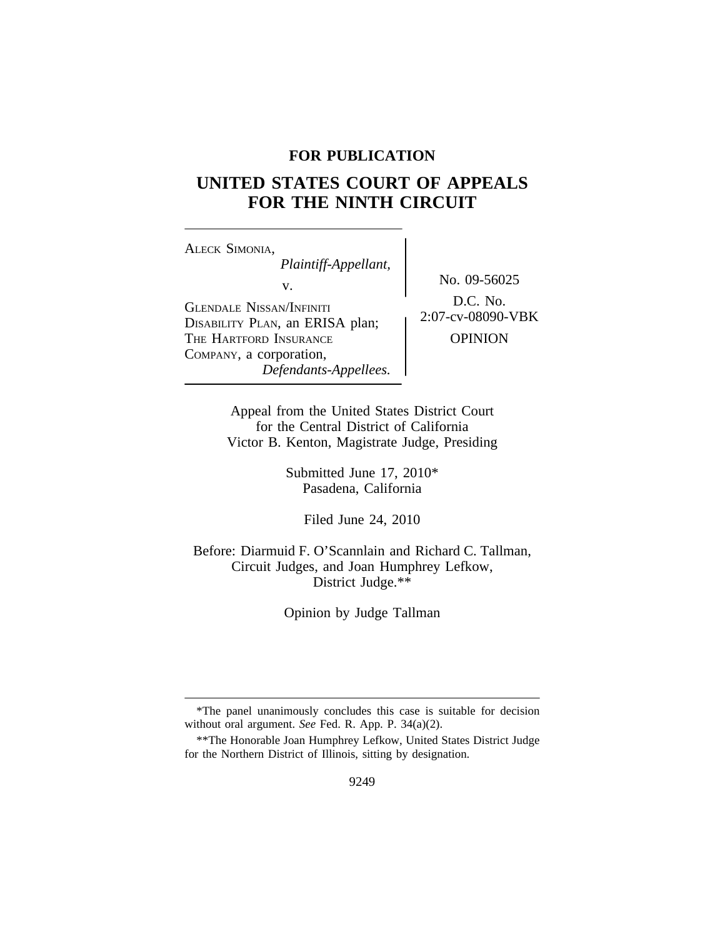## **FOR PUBLICATION**

# **UNITED STATES COURT OF APPEALS FOR THE NINTH CIRCUIT**

<sup>A</sup>LECK SIMONIA, *Plaintiff-Appellant,* v. No. 09-56025 GLENDALE NISSAN/INFINITI<br>DISABILITY PLAN, an ERISA plan; 2:07-cv-08090-VBK THE HARTFORD INSURANCE **DEPINION** COMPANY, a corporation, *Defendants-Appellees.*

Appeal from the United States District Court for the Central District of California Victor B. Kenton, Magistrate Judge, Presiding

> Submitted June 17, 2010\* Pasadena, California

> > Filed June 24, 2010

Before: Diarmuid F. O'Scannlain and Richard C. Tallman, Circuit Judges, and Joan Humphrey Lefkow, District Judge.\*\*

Opinion by Judge Tallman

<sup>\*</sup>The panel unanimously concludes this case is suitable for decision without oral argument. *See* Fed. R. App. P. 34(a)(2).

<sup>\*\*</sup>The Honorable Joan Humphrey Lefkow, United States District Judge for the Northern District of Illinois, sitting by designation.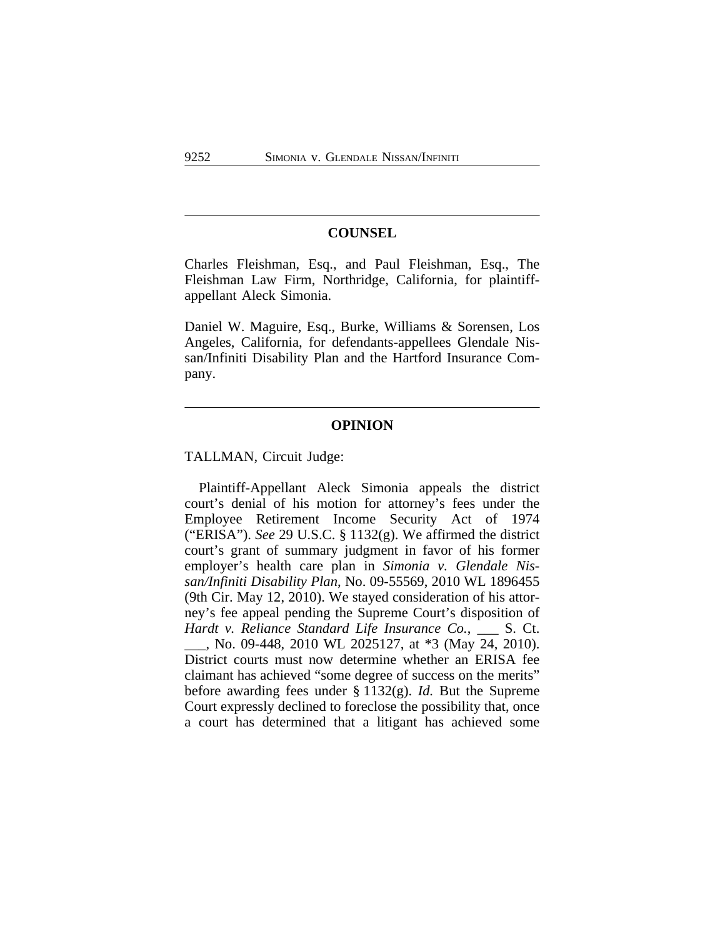#### **COUNSEL**

Charles Fleishman, Esq., and Paul Fleishman, Esq., The Fleishman Law Firm, Northridge, California, for plaintiffappellant Aleck Simonia.

Daniel W. Maguire, Esq., Burke, Williams & Sorensen, Los Angeles, California, for defendants-appellees Glendale Nissan/Infiniti Disability Plan and the Hartford Insurance Company.

### **OPINION**

TALLMAN, Circuit Judge:

Plaintiff-Appellant Aleck Simonia appeals the district court's denial of his motion for attorney's fees under the Employee Retirement Income Security Act of 1974 ("ERISA"). *See* 29 U.S.C. § 1132(g). We affirmed the district court's grant of summary judgment in favor of his former employer's health care plan in *Simonia v. Glendale Nissan/Infiniti Disability Plan*, No. 09-55569, 2010 WL 1896455 (9th Cir. May 12, 2010). We stayed consideration of his attorney's fee appeal pending the Supreme Court's disposition of *Hardt v. Reliance Standard Life Insurance Co.*, \_\_\_ S. Ct. \_\_\_, No. 09-448, 2010 WL 2025127, at \*3 (May 24, 2010). District courts must now determine whether an ERISA fee claimant has achieved "some degree of success on the merits" before awarding fees under § 1132(g). *Id.* But the Supreme Court expressly declined to foreclose the possibility that, once a court has determined that a litigant has achieved some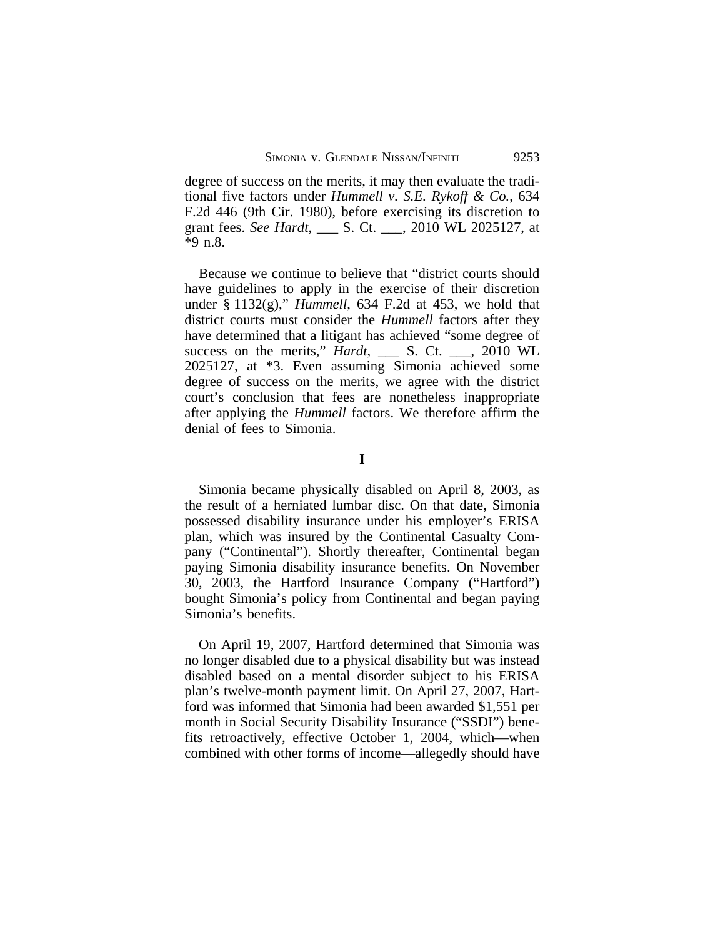degree of success on the merits, it may then evaluate the traditional five factors under *Hummell v. S.E. Rykoff & Co.*, 634 F.2d 446 (9th Cir. 1980), before exercising its discretion to grant fees. *See Hardt*, \_\_\_ S. Ct. \_\_\_, 2010 WL 2025127, at \*9 n.8.

Because we continue to believe that "district courts should have guidelines to apply in the exercise of their discretion under § 1132(g)," *Hummell*, 634 F.2d at 453, we hold that district courts must consider the *Hummell* factors after they have determined that a litigant has achieved "some degree of success on the merits," *Hardt*, \_\_\_ S. Ct. \_\_\_, 2010 WL 2025127, at \*3. Even assuming Simonia achieved some degree of success on the merits, we agree with the district court's conclusion that fees are nonetheless inappropriate after applying the *Hummell* factors. We therefore affirm the denial of fees to Simonia.

**I**

Simonia became physically disabled on April 8, 2003, as the result of a herniated lumbar disc. On that date, Simonia possessed disability insurance under his employer's ERISA plan, which was insured by the Continental Casualty Company ("Continental"). Shortly thereafter, Continental began paying Simonia disability insurance benefits. On November 30, 2003, the Hartford Insurance Company ("Hartford") bought Simonia's policy from Continental and began paying Simonia's benefits.

On April 19, 2007, Hartford determined that Simonia was no longer disabled due to a physical disability but was instead disabled based on a mental disorder subject to his ERISA plan's twelve-month payment limit. On April 27, 2007, Hartford was informed that Simonia had been awarded \$1,551 per month in Social Security Disability Insurance ("SSDI") benefits retroactively, effective October 1, 2004, which—when combined with other forms of income—allegedly should have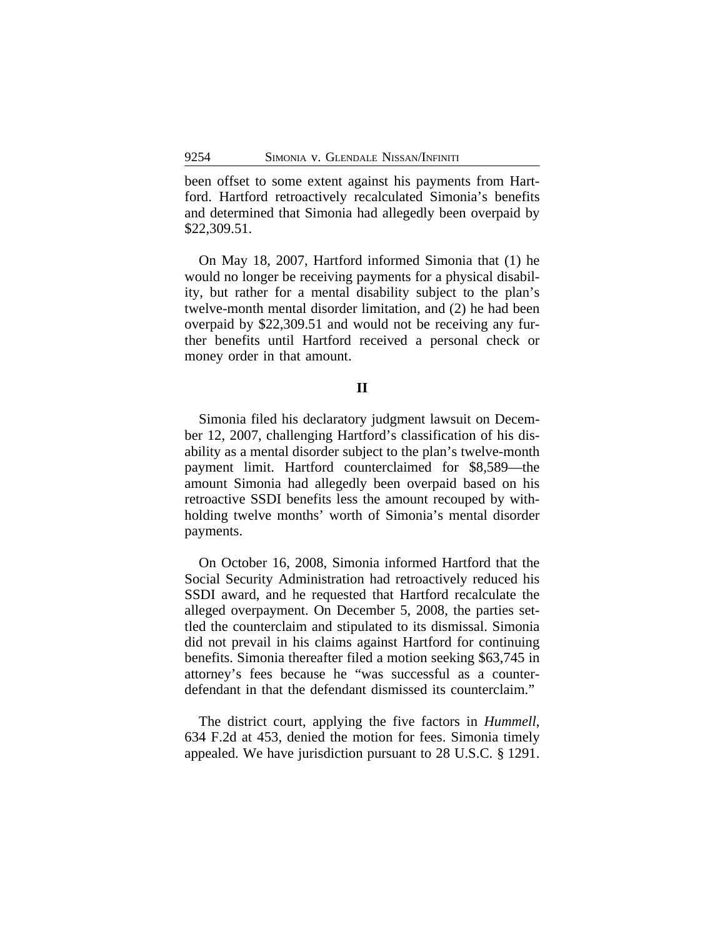been offset to some extent against his payments from Hartford. Hartford retroactively recalculated Simonia's benefits and determined that Simonia had allegedly been overpaid by \$22,309.51.

On May 18, 2007, Hartford informed Simonia that (1) he would no longer be receiving payments for a physical disability, but rather for a mental disability subject to the plan's twelve-month mental disorder limitation, and (2) he had been overpaid by \$22,309.51 and would not be receiving any further benefits until Hartford received a personal check or money order in that amount.

#### **II**

Simonia filed his declaratory judgment lawsuit on December 12, 2007, challenging Hartford's classification of his disability as a mental disorder subject to the plan's twelve-month payment limit. Hartford counterclaimed for \$8,589—the amount Simonia had allegedly been overpaid based on his retroactive SSDI benefits less the amount recouped by withholding twelve months' worth of Simonia's mental disorder payments.

On October 16, 2008, Simonia informed Hartford that the Social Security Administration had retroactively reduced his SSDI award, and he requested that Hartford recalculate the alleged overpayment. On December 5, 2008, the parties settled the counterclaim and stipulated to its dismissal. Simonia did not prevail in his claims against Hartford for continuing benefits. Simonia thereafter filed a motion seeking \$63,745 in attorney's fees because he "was successful as a counterdefendant in that the defendant dismissed its counterclaim."

The district court, applying the five factors in *Hummell*, 634 F.2d at 453, denied the motion for fees. Simonia timely appealed. We have jurisdiction pursuant to 28 U.S.C. § 1291.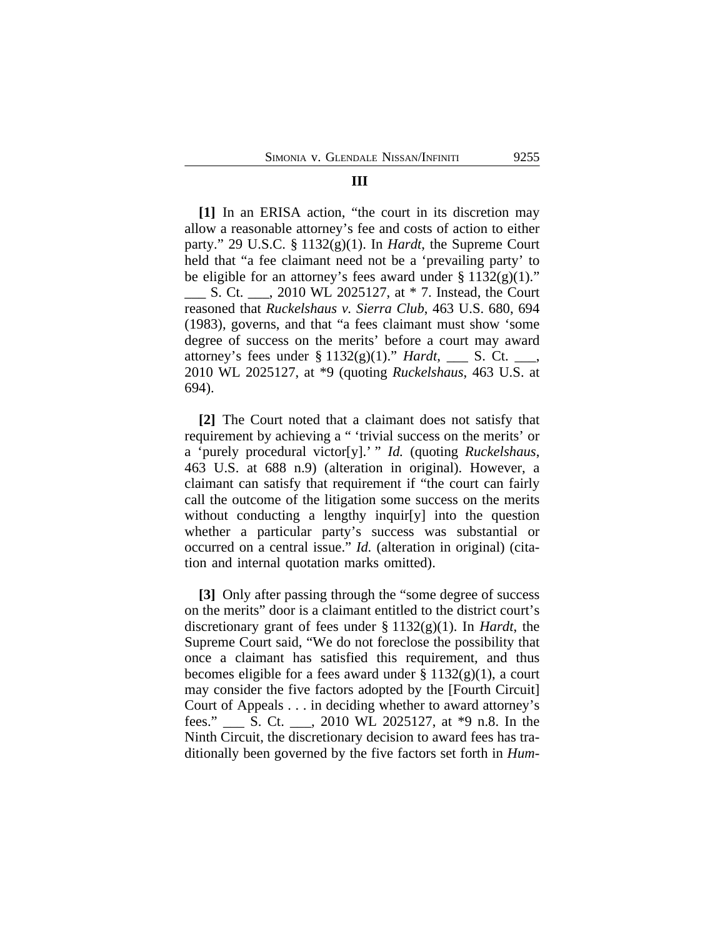#### **III**

**[1]** In an ERISA action, "the court in its discretion may allow a reasonable attorney's fee and costs of action to either party." 29 U.S.C. § 1132(g)(1). In *Hardt*, the Supreme Court held that "a fee claimant need not be a 'prevailing party' to be eligible for an attorney's fees award under  $\S 1132(g)(1)$ ." \_\_\_ S. Ct. \_\_\_, 2010 WL 2025127, at \* 7. Instead, the Court reasoned that *Ruckelshaus v. Sierra Club*, 463 U.S. 680, 694 (1983), governs, and that "a fees claimant must show 'some degree of success on the merits' before a court may award attorney's fees under § 1132(g)(1)." *Hardt*, \_\_\_ S. Ct. \_\_\_, 2010 WL 2025127, at \*9 (quoting *Ruckelshaus*, 463 U.S. at 694).

**[2]** The Court noted that a claimant does not satisfy that requirement by achieving a " 'trivial success on the merits' or a 'purely procedural victor[y].' " *Id.* (quoting *Ruckelshaus*, 463 U.S. at 688 n.9) (alteration in original). However, a claimant can satisfy that requirement if "the court can fairly call the outcome of the litigation some success on the merits without conducting a lengthy inquir [y] into the question whether a particular party's success was substantial or occurred on a central issue." *Id.* (alteration in original) (citation and internal quotation marks omitted).

**[3]** Only after passing through the "some degree of success on the merits" door is a claimant entitled to the district court's discretionary grant of fees under § 1132(g)(1). In *Hardt*, the Supreme Court said, "We do not foreclose the possibility that once a claimant has satisfied this requirement, and thus becomes eligible for a fees award under  $\S 1132(g)(1)$ , a court may consider the five factors adopted by the [Fourth Circuit] Court of Appeals . . . in deciding whether to award attorney's fees." \_\_\_ S. Ct. \_\_\_, 2010 WL 2025127, at \*9 n.8. In the Ninth Circuit, the discretionary decision to award fees has traditionally been governed by the five factors set forth in *Hum-*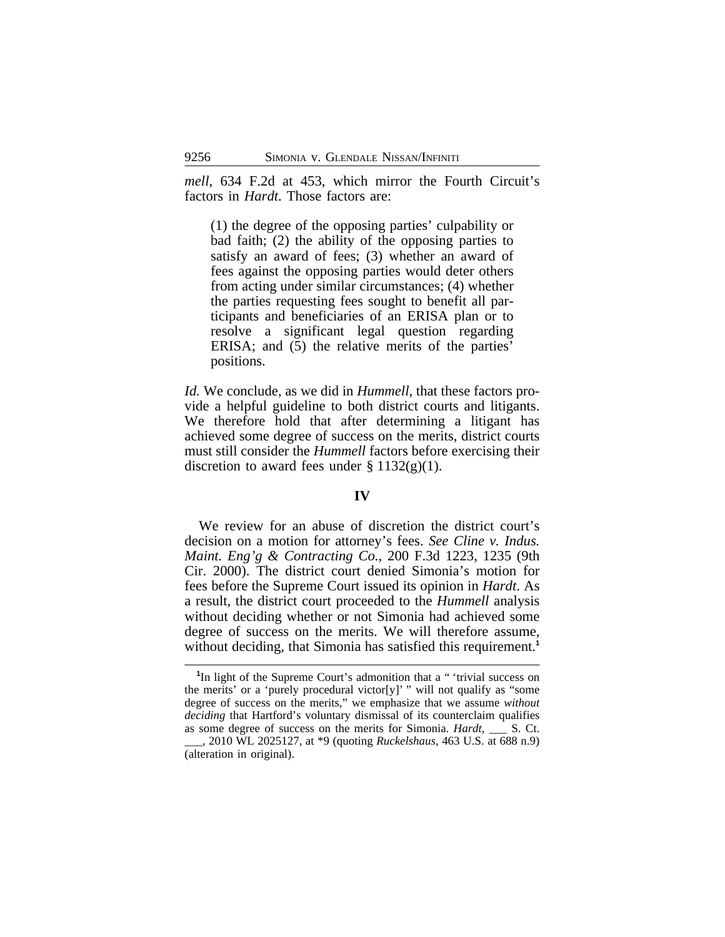*mell*, 634 F.2d at 453, which mirror the Fourth Circuit's factors in *Hardt*. Those factors are:

(1) the degree of the opposing parties' culpability or bad faith; (2) the ability of the opposing parties to satisfy an award of fees; (3) whether an award of fees against the opposing parties would deter others from acting under similar circumstances; (4) whether the parties requesting fees sought to benefit all participants and beneficiaries of an ERISA plan or to resolve a significant legal question regarding ERISA; and (5) the relative merits of the parties' positions.

*Id.* We conclude, as we did in *Hummell*, that these factors provide a helpful guideline to both district courts and litigants. We therefore hold that after determining a litigant has achieved some degree of success on the merits, district courts must still consider the *Hummell* factors before exercising their discretion to award fees under  $\S 1132(g)(1)$ .

#### **IV**

We review for an abuse of discretion the district court's decision on a motion for attorney's fees. *See Cline v. Indus. Maint. Eng'g & Contracting Co.*, 200 F.3d 1223, 1235 (9th Cir. 2000). The district court denied Simonia's motion for fees before the Supreme Court issued its opinion in *Hardt*. As a result, the district court proceeded to the *Hummell* analysis without deciding whether or not Simonia had achieved some degree of success on the merits. We will therefore assume, without deciding, that Simonia has satisfied this requirement.<sup>1</sup>

<sup>&</sup>lt;sup>1</sup>In light of the Supreme Court's admonition that a " 'trivial success on the merits' or a 'purely procedural victor[y]' " will not qualify as "some degree of success on the merits," we emphasize that we assume *without deciding* that Hartford's voluntary dismissal of its counterclaim qualifies as some degree of success on the merits for Simonia. *Hardt*, \_\_\_ S. Ct. \_\_\_, 2010 WL 2025127, at \*9 (quoting *Ruckelshaus*, 463 U.S. at 688 n.9) (alteration in original).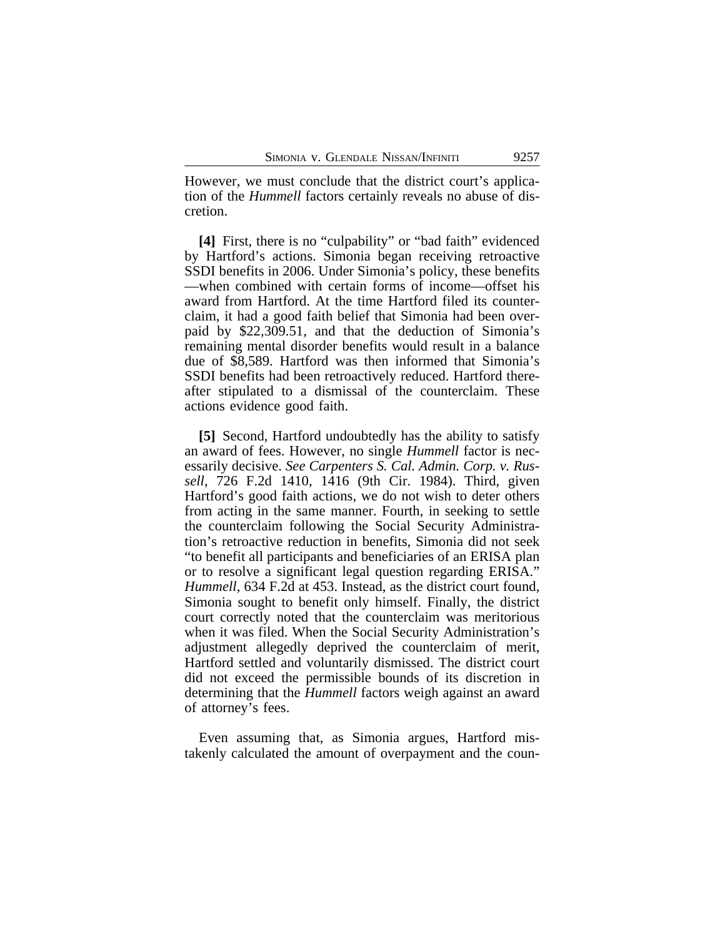However, we must conclude that the district court's application of the *Hummell* factors certainly reveals no abuse of discretion.

**[4]** First, there is no "culpability" or "bad faith" evidenced by Hartford's actions. Simonia began receiving retroactive SSDI benefits in 2006. Under Simonia's policy, these benefits —when combined with certain forms of income—offset his award from Hartford. At the time Hartford filed its counterclaim, it had a good faith belief that Simonia had been overpaid by \$22,309.51, and that the deduction of Simonia's remaining mental disorder benefits would result in a balance due of \$8,589. Hartford was then informed that Simonia's SSDI benefits had been retroactively reduced. Hartford thereafter stipulated to a dismissal of the counterclaim. These actions evidence good faith.

**[5]** Second, Hartford undoubtedly has the ability to satisfy an award of fees. However, no single *Hummell* factor is necessarily decisive. *See Carpenters S. Cal. Admin. Corp. v. Russell*, 726 F.2d 1410, 1416 (9th Cir. 1984). Third, given Hartford's good faith actions, we do not wish to deter others from acting in the same manner. Fourth, in seeking to settle the counterclaim following the Social Security Administration's retroactive reduction in benefits, Simonia did not seek "to benefit all participants and beneficiaries of an ERISA plan or to resolve a significant legal question regarding ERISA." *Hummell*, 634 F.2d at 453. Instead, as the district court found, Simonia sought to benefit only himself. Finally, the district court correctly noted that the counterclaim was meritorious when it was filed. When the Social Security Administration's adjustment allegedly deprived the counterclaim of merit, Hartford settled and voluntarily dismissed. The district court did not exceed the permissible bounds of its discretion in determining that the *Hummell* factors weigh against an award of attorney's fees.

Even assuming that, as Simonia argues, Hartford mistakenly calculated the amount of overpayment and the coun